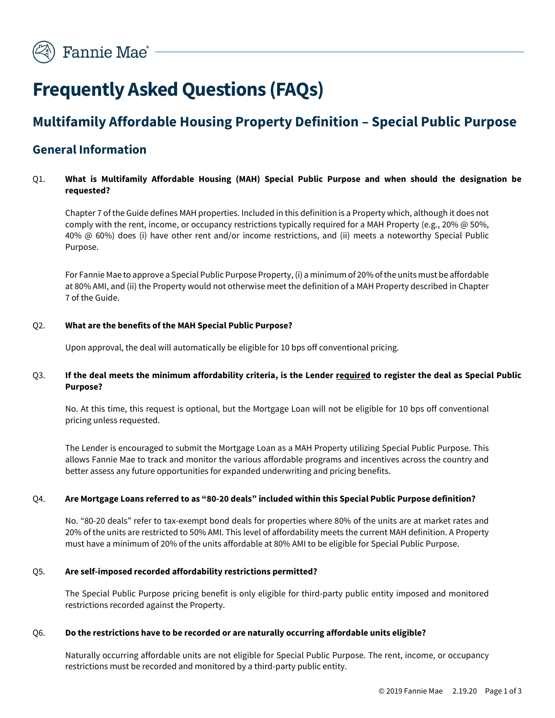# Frequently Asked Questions (FAQs)

## Multifamily Affordable Housing Property Definition – Special Public Purpose

## General Information

#### Q1. What is Multifamily Affordable Housing (MAH) Special Public Purpose and when should the designation be requested?

Chapter 7 of the Guide defines MAH properties. Included in this definition is a Property which, although it does not comply with the rent, income, or occupancy restrictions typically required for a MAH Property (e.g., 20% @ 50%, 40% @ 60%) does (i) have other rent and/or income restrictions, and (ii) meets a noteworthy Special Public Purpose.

For Fannie Mae to approve a Special Public Purpose Property, (i) a minimum of 20% of the units must be affordable at 80% AMI, and (ii) the Property would not otherwise meet the definition of a MAH Property described in Chapter 7 of the Guide.

#### Q2. What are the benefits of the MAH Special Public Purpose?

Upon approval, the deal will automatically be eligible for 10 bps off conventional pricing.

#### Q3. If the deal meets the minimum affordability criteria, is the Lender required to register the deal as Special Public Purpose?

No. At this time, this request is optional, but the Mortgage Loan will not be eligible for 10 bps off conventional pricing unless requested.

The Lender is encouraged to submit the Mortgage Loan as a MAH Property utilizing Special Public Purpose. This allows Fannie Mae to track and monitor the various affordable programs and incentives across the country and better assess any future opportunities for expanded underwriting and pricing benefits.

#### Q4. Are Mortgage Loans referred to as "80-20 deals" included within this Special Public Purpose definition?

No. "80-20 deals" refer to tax-exempt bond deals for properties where 80% of the units are at market rates and 20% of the units are restricted to 50% AMI. This level of affordability meets the current MAH definition. A Property must have a minimum of 20% of the units affordable at 80% AMI to be eligible for Special Public Purpose.

#### Q5. Are self-imposed recorded affordability restrictions permitted?

The Special Public Purpose pricing benefit is only eligible for third-party public entity imposed and monitored restrictions recorded against the Property.

#### Q6. Do the restrictions have to be recorded or are naturally occurring affordable units eligible?

Naturally occurring affordable units are not eligible for Special Public Purpose. The rent, income, or occupancy restrictions must be recorded and monitored by a third-party public entity.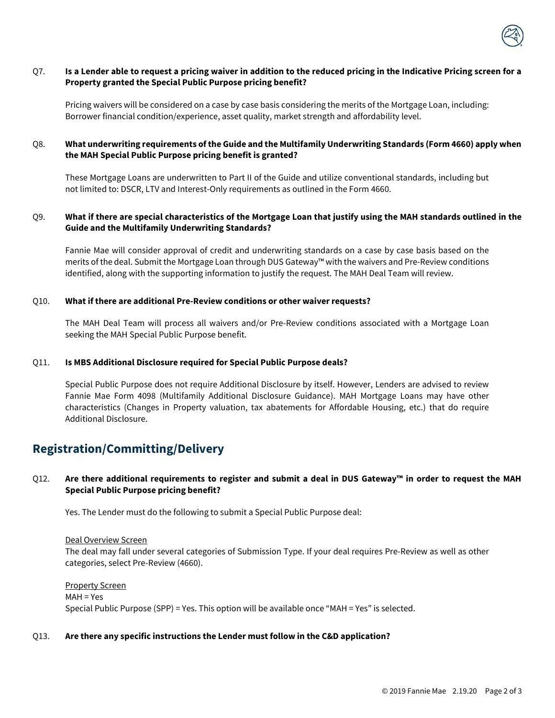

#### Q7. Is a Lender able to request a pricing waiver in addition to the reduced pricing in the Indicative Pricing screen for a Property granted the Special Public Purpose pricing benefit?

Pricing waivers will be considered on a case by case basis considering the merits of the Mortgage Loan, including: Borrower financial condition/experience, asset quality, market strength and affordability level.

#### Q8. What underwriting requirements of the Guide and the Multifamily Underwriting Standards (Form 4660) apply when the MAH Special Public Purpose pricing benefit is granted?

These Mortgage Loans are underwritten to Part II of the Guide and utilize conventional standards, including but not limited to: DSCR, LTV and Interest-Only requirements as outlined in the Form 4660.

#### Q9. What if there are special characteristics of the Mortgage Loan that justify using the MAH standards outlined in the Guide and the Multifamily Underwriting Standards?

Fannie Mae will consider approval of credit and underwriting standards on a case by case basis based on the merits of the deal. Submit the Mortgage Loan through DUS Gateway™ with the waivers and Pre-Review conditions identified, along with the supporting information to justify the request. The MAH Deal Team will review.

#### Q10. What if there are additional Pre-Review conditions or other waiver requests?

The MAH Deal Team will process all waivers and/or Pre-Review conditions associated with a Mortgage Loan seeking the MAH Special Public Purpose benefit.

#### Q11. Is MBS Additional Disclosure required for Special Public Purpose deals?

Special Public Purpose does not require Additional Disclosure by itself. However, Lenders are advised to review Fannie Mae Form 4098 (Multifamily Additional Disclosure Guidance). MAH Mortgage Loans may have other characteristics (Changes in Property valuation, tax abatements for Affordable Housing, etc.) that do require Additional Disclosure.

### Registration/Committing/Delivery

#### Q12. Are there additional requirements to register and submit a deal in DUS Gateway™ in order to request the MAH Special Public Purpose pricing benefit?

Yes. The Lender must do the following to submit a Special Public Purpose deal:

Deal Overview Screen

The deal may fall under several categories of Submission Type. If your deal requires Pre-Review as well as other categories, select Pre-Review (4660).

Property Screen MAH = Yes Special Public Purpose (SPP) = Yes. This option will be available once "MAH = Yes" is selected.

#### Q13. Are there any specific instructions the Lender must follow in the C&D application?